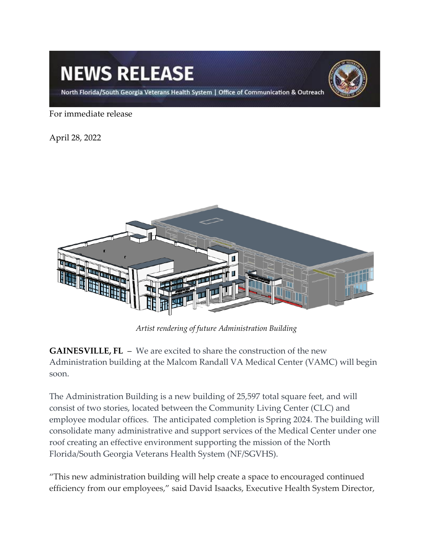## **NEWS RELEASE**



North Florida/South Georgia Veterans Health System | Office of Communication & Outreach

For immediate release

April 28, 2022



*Artist rendering of future Administration Building*

**GAINESVILLE, FL** – We are excited to share the construction of the new Administration building at the Malcom Randall VA Medical Center (VAMC) will begin soon.

The Administration Building is a new building of 25,597 total square feet, and will consist of two stories, located between the Community Living Center (CLC) and employee modular offices. The anticipated completion is Spring 2024. The building will consolidate many administrative and support services of the Medical Center under one roof creating an effective environment supporting the mission of the North Florida/South Georgia Veterans Health System (NF/SGVHS).

"This new administration building will help create a space to encouraged continued efficiency from our employees," said David Isaacks, Executive Health System Director,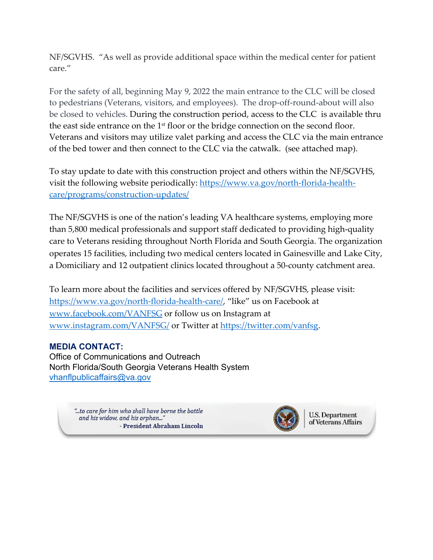NF/SGVHS. "As well as provide additional space within the medical center for patient care."

For the safety of all, beginning May 9, 2022 the main entrance to the CLC will be closed to pedestrians (Veterans, visitors, and employees). The drop-off-round-about will also be closed to vehicles. During the construction period, access to the CLC is available thru the east side entrance on the 1<sup>st</sup> floor or the bridge connection on the second floor. Veterans and visitors may utilize valet parking and access the CLC via the main entrance of the bed tower and then connect to the CLC via the catwalk. (see attached map).

To stay update to date with this construction project and others within the NF/SGVHS, visit the following website periodically: [https://www.va.gov/north-florida-health](https://www.va.gov/north-florida-health-care/programs/construction-updates/)[care/programs/construction-updates/](https://www.va.gov/north-florida-health-care/programs/construction-updates/)

The NF/SGVHS is one of the nation's leading VA healthcare systems, employing more than 5,800 medical professionals and support staff dedicated to providing high-quality care to Veterans residing throughout North Florida and South Georgia. The organization operates 15 facilities, including two medical centers located in Gainesville and Lake City, a Domiciliary and 12 outpatient clinics located throughout a 50-county catchment area.

To learn more about the facilities and services offered by NF/SGVHS, please visit: [https://www.va.gov/north-florida-health-care/,](https://gcc02.safelinks.protection.outlook.com/?url=https%3A%2F%2Fwww.va.gov%2Fnorth-florida-health-care%2F&data=04%7C01%7C%7C16717d637057499e02b708da1ef96de2%7Ce95f1b23abaf45ee821db7ab251ab3bf%7C0%7C0%7C637856353897685257%7CUnknown%7CTWFpbGZsb3d8eyJWIjoiMC4wLjAwMDAiLCJQIjoiV2luMzIiLCJBTiI6Ik1haWwiLCJXVCI6Mn0%3D%7C3000&sdata=91pd6NjJd%2BqOrNHg59Fv3FEilJw%2Fd3yyev5vD9vuxIA%3D&reserved=0) "like" us on Facebook at [www.facebook.com/VANFSG](https://gcc02.safelinks.protection.outlook.com/?url=https%3A%2F%2Fwww.facebook.com%2FVANFSG&data=04%7C01%7C%7C16717d637057499e02b708da1ef96de2%7Ce95f1b23abaf45ee821db7ab251ab3bf%7C0%7C0%7C637856353897685257%7CUnknown%7CTWFpbGZsb3d8eyJWIjoiMC4wLjAwMDAiLCJQIjoiV2luMzIiLCJBTiI6Ik1haWwiLCJXVCI6Mn0%3D%7C3000&sdata=rJgC3fjkgKHEUR%2BQ9EVzUnPZQPHKUKXZOCwknbo5kr4%3D&reserved=0) or follow us on Instagram at [www.instagram.com/VANFSG/](https://gcc02.safelinks.protection.outlook.com/?url=https%3A%2F%2Fwww.instagram.com%2FVANFSG%2F&data=04%7C01%7C%7C16717d637057499e02b708da1ef96de2%7Ce95f1b23abaf45ee821db7ab251ab3bf%7C0%7C0%7C637856353897685257%7CUnknown%7CTWFpbGZsb3d8eyJWIjoiMC4wLjAwMDAiLCJQIjoiV2luMzIiLCJBTiI6Ik1haWwiLCJXVCI6Mn0%3D%7C3000&sdata=yWG9cvm%2FB7NRXRnJd4lk%2FIyleUo42GiIBu6Ia%2BQhKyc%3D&reserved=0) or Twitter at [https://twitter.com/vanfsg.](https://gcc02.safelinks.protection.outlook.com/?url=https%3A%2F%2Ftwitter.com%2Fvanfsg&data=04%7C01%7C%7C16717d637057499e02b708da1ef96de2%7Ce95f1b23abaf45ee821db7ab251ab3bf%7C0%7C0%7C637856353897685257%7CUnknown%7CTWFpbGZsb3d8eyJWIjoiMC4wLjAwMDAiLCJQIjoiV2luMzIiLCJBTiI6Ik1haWwiLCJXVCI6Mn0%3D%7C3000&sdata=uc3yhua3mxoCYZQ5%2BpGVi0LapqHCKt2MUtCbxm7X%2FPo%3D&reserved=0)

## **MEDIA CONTACT:**

Office of Communications and Outreach North Florida/South Georgia Veterans Health System [vhanflpublicaffairs@va.gov](mailto:vhanflpublicaffairs@va.gov)

> to care for him who shall have borne the battle..." and his widow, and his orphan..." - President Abraham Lincoln



U.S. Department of Veterans Affairs